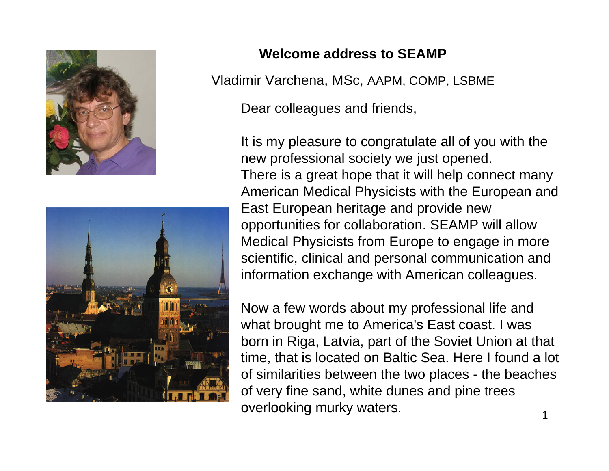



## **Welcome address to SEAMP**

Vladimir Varchena, MSc, AAPM, COMP, LSBME

Dear colleagues and friends,

It is my pleasure to congratulate all of you with the new professional society we just opened. There is a great hope that it will help connect many American Medical Physicists with the European and East European heritage and provide new opportunities for collaboration. SEAMP will allow Medical Physicists from Europe to engage in more scientific, clinical and personal communication and information exchange with American colleagues.

Now a few words about my professional life and what brought me to America's East coast. I was born in Riga, Latvia, part of the Soviet Union at that time, that is located on Baltic Sea. Here I found a lot of similarities between the two places - the beaches of very fine sand, white dunes and pine trees overlooking murky waters.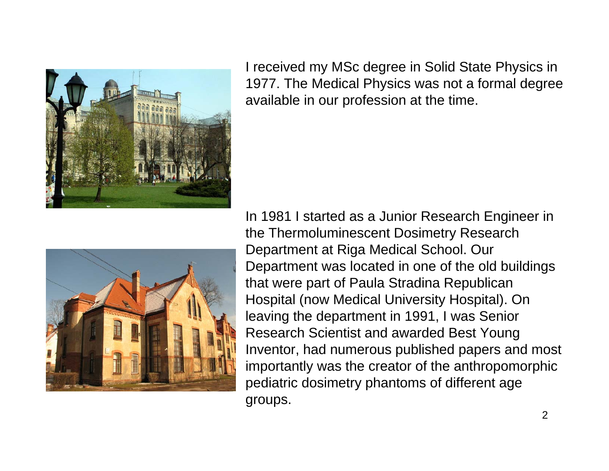

I received my MSc degree in Solid State Physics in 1977. The Medical Physics was not a formal degree available in our profession at the time.



In 1981 I started as a Junior Research Engineer in the Thermoluminescent Dosimetry Research Department at Riga Medical School. Our Department was located in one of the old buildings that were part of Paula Stradina Republican Hospital (now Medical University Hospital). On leaving the department in 1991, I was Senior Research Scientist and awarded Best Young Inventor, had numerous published papers and most importantly was the creator of the anthropomorphic pediatric dosimetry phantoms of different age groups.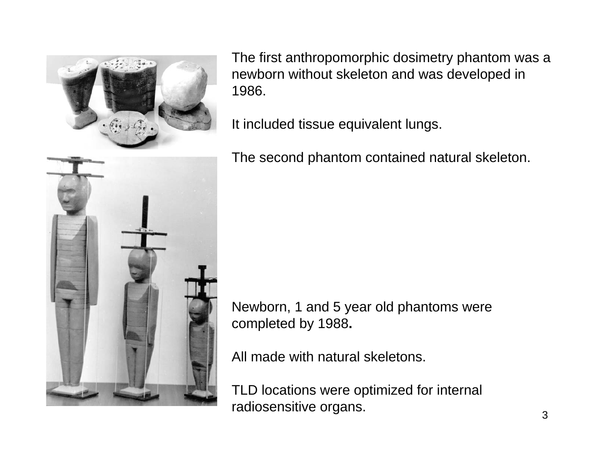

The first anthropomorphic dosimetry phantom was a newborn without skeleton and was developed in 1986.

It included tissue equivalent lungs.

The second phantom contained natural skeleton.

Newborn, 1 and 5 year old phantoms were completed by 1988**.**

All made with natural skeletons.

TLD locations were optimized for internal radiosensitive organs.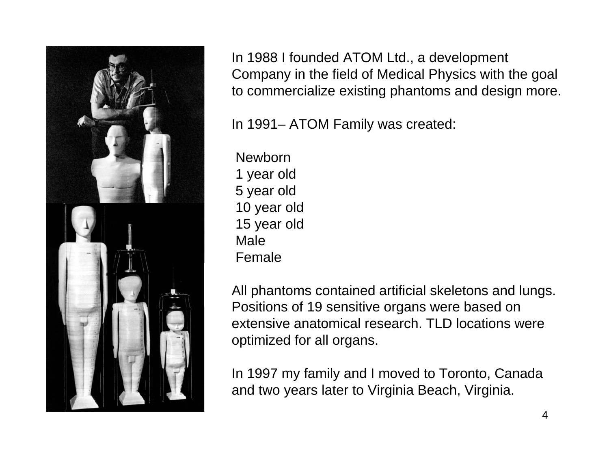

In 1988 I founded ATOM Ltd., a development Company in the field of Medical Physics with the goal to commercialize existing phantoms and design more.

In 1991– ATOM Family was created:

**Newborn** 1 year old 5 year old 10 year old 15 year old MaleFemale

All phantoms contained artificial skeletons and lungs. Positions of 19 sensitive organs were based on extensive anatomical research. TLD locations were optimized for all organs.

In 1997 my family and I moved to Toronto, Canada and two years later to Virginia Beach, Virginia.